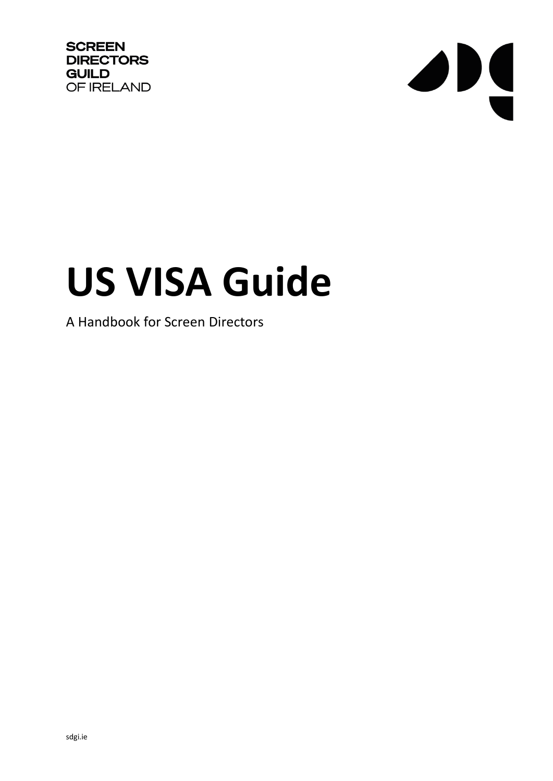**SCREEN DIRECTORS GUILD** OF IRELAND



# **US VISA Guide**

## A Handbook for Screen Directors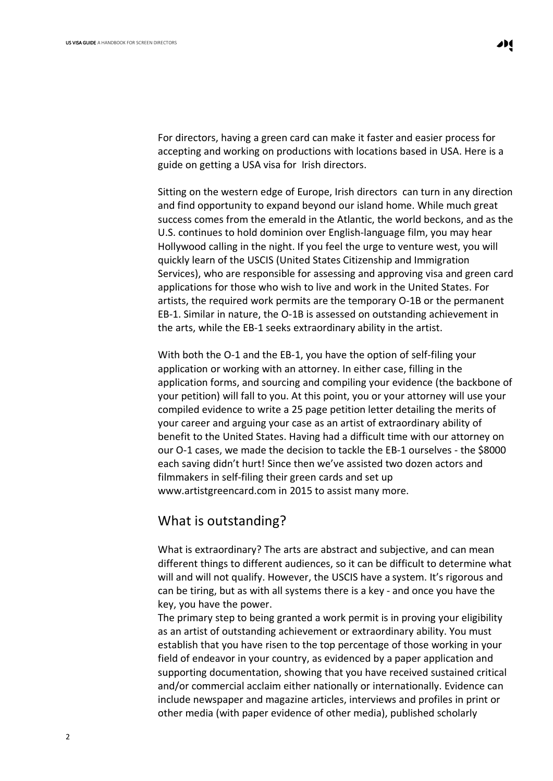For directors, having a green card can make it faster and easier process for accepting and working on productions with locations based in USA. Here is a guide on getting a USA visa for Irish directors.

Sitting on the western edge of Europe, Irish directors can turn in any direction and find opportunity to expand beyond our island home. While much great success comes from the emerald in the Atlantic, the world beckons, and as the U.S. continues to hold dominion over English-language film, you may hear Hollywood calling in the night. If you feel the urge to venture west, you will quickly learn of the USCIS (United States Citizenship and Immigration Services), who are responsible for assessing and approving visa and green card applications for those who wish to live and work in the United States. For artists, the required work permits are the temporary O-1B or the permanent EB-1. Similar in nature, the O-1B is assessed on outstanding achievement in the arts, while the EB-1 seeks extraordinary ability in the artist.

With both the O-1 and the EB-1, you have the option of self-filing your application or working with an attorney. In either case, filling in the application forms, and sourcing and compiling your evidence (the backbone of your petition) will fall to you. At this point, you or your attorney will use your compiled evidence to write a 25 page petition letter detailing the merits of your career and arguing your case as an artist of extraordinary ability of benefit to the United States. Having had a difficult time with our attorney on our O-1 cases, we made the decision to tackle the EB-1 ourselves - the \$8000 each saving didn't hurt! Since then we've assisted two dozen actors and filmmakers in self-filing their green cards and set up www.artistgreencard.com in 2015 to assist many more.

#### What is outstanding?

What is extraordinary? The arts are abstract and subjective, and can mean different things to different audiences, so it can be difficult to determine what will and will not qualify. However, the USCIS have a system. It's rigorous and can be tiring, but as with all systems there is a key - and once you have the key, you have the power.

The primary step to being granted a work permit is in proving your eligibility as an artist of outstanding achievement or extraordinary ability. You must establish that you have risen to the top percentage of those working in your field of endeavor in your country, as evidenced by a paper application and supporting documentation, showing that you have received sustained critical and/or commercial acclaim either nationally or internationally. Evidence can include newspaper and magazine articles, interviews and profiles in print or other media (with paper evidence of other media), published scholarly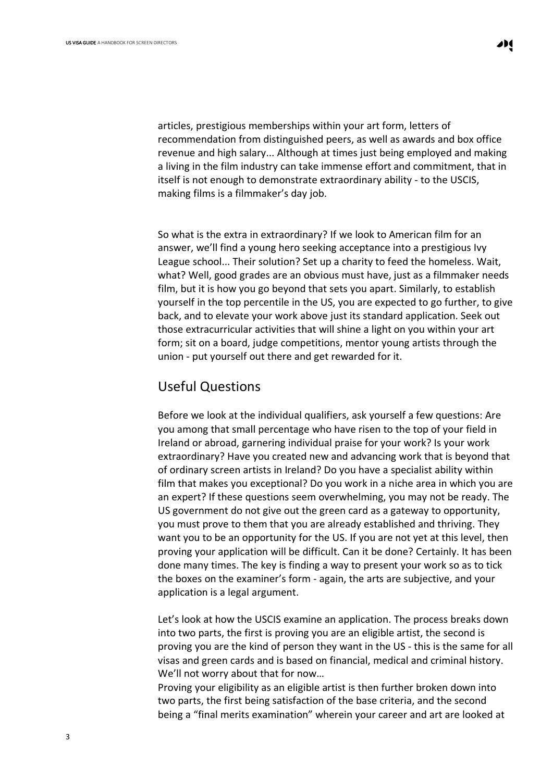articles, prestigious memberships within your art form, letters of recommendation from distinguished peers, as well as awards and box office revenue and high salary... Although at times just being employed and making a living in the film industry can take immense effort and commitment, that in itself is not enough to demonstrate extraordinary ability - to the USCIS, making films is a filmmaker's day job.

So what is the extra in extraordinary? If we look to American film for an answer, we'll find a young hero seeking acceptance into a prestigious Ivy League school... Their solution? Set up a charity to feed the homeless. Wait, what? Well, good grades are an obvious must have, just as a filmmaker needs film, but it is how you go beyond that sets you apart. Similarly, to establish yourself in the top percentile in the US, you are expected to go further, to give back, and to elevate your work above just its standard application. Seek out those extracurricular activities that will shine a light on you within your art form; sit on a board, judge competitions, mentor young artists through the union - put yourself out there and get rewarded for it.

# Useful Questions

Before we look at the individual qualifiers, ask yourself a few questions: Are you among that small percentage who have risen to the top of your field in Ireland or abroad, garnering individual praise for your work? Is your work extraordinary? Have you created new and advancing work that is beyond that of ordinary screen artists in Ireland? Do you have a specialist ability within film that makes you exceptional? Do you work in a niche area in which you are an expert? If these questions seem overwhelming, you may not be ready. The US government do not give out the green card as a gateway to opportunity, you must prove to them that you are already established and thriving. They want you to be an opportunity for the US. If you are not yet at this level, then proving your application will be difficult. Can it be done? Certainly. It has been done many times. The key is finding a way to present your work so as to tick the boxes on the examiner's form - again, the arts are subjective, and your application is a legal argument.

Let's look at how the USCIS examine an application. The process breaks down into two parts, the first is proving you are an eligible artist, the second is proving you are the kind of person they want in the US - this is the same for all visas and green cards and is based on financial, medical and criminal history. We'll not worry about that for now…

Proving your eligibility as an eligible artist is then further broken down into two parts, the first being satisfaction of the base criteria, and the second being a "final merits examination" wherein your career and art are looked at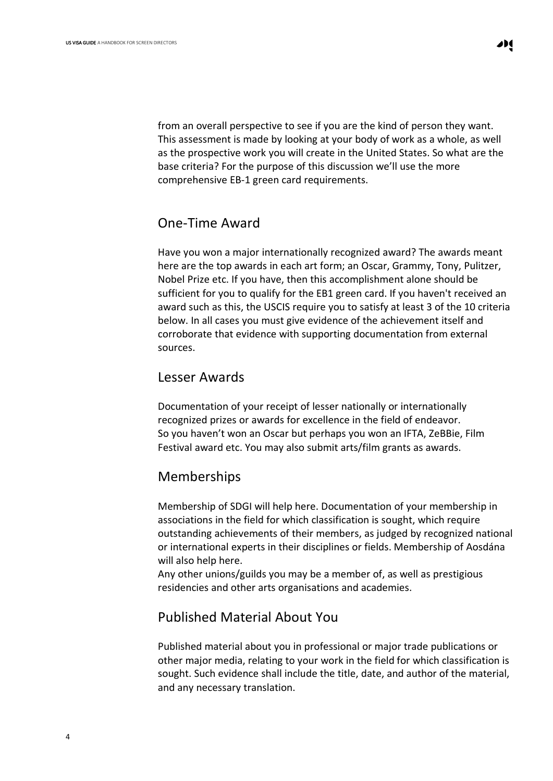from an overall perspective to see if you are the kind of person they want. This assessment is made by looking at your body of work as a whole, as well as the prospective work you will create in the United States. So what are the base criteria? For the purpose of this discussion we'll use the more comprehensive EB-1 green card requirements.

#### One-Time Award

Have you won a major internationally recognized award? The awards meant here are the top awards in each art form; an Oscar, Grammy, Tony, Pulitzer, Nobel Prize etc. If you have, then this accomplishment alone should be sufficient for you to qualify for the EB1 green card. If you haven't received an award such as this, the USCIS require you to satisfy at least 3 of the 10 criteria below. In all cases you must give evidence of the achievement itself and corroborate that evidence with supporting documentation from external sources.

#### Lesser Awards

Documentation of your receipt of lesser nationally or internationally recognized prizes or awards for excellence in the field of endeavor. So you haven't won an Oscar but perhaps you won an IFTA, ZeBBie, Film Festival award etc. You may also submit arts/film grants as awards.

#### Memberships

Membership of SDGI will help here. Documentation of your membership in associations in the field for which classification is sought, which require outstanding achievements of their members, as judged by recognized national or international experts in their disciplines or fields. Membership of Aosdána will also help here.

Any other unions/guilds you may be a member of, as well as prestigious residencies and other arts organisations and academies.

#### Published Material About You

Published material about you in professional or major trade publications or other major media, relating to your work in the field for which classification is sought. Such evidence shall include the title, date, and author of the material, and any necessary translation.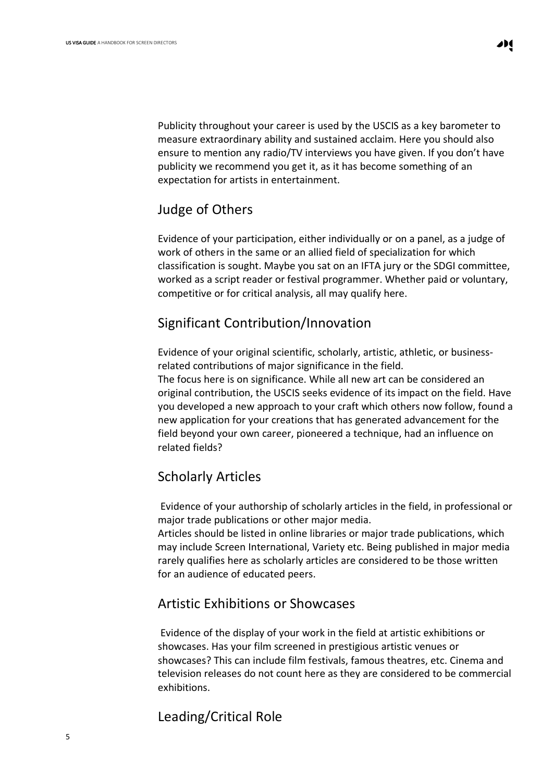Publicity throughout your career is used by the USCIS as a key barometer to measure extraordinary ability and sustained acclaim. Here you should also ensure to mention any radio/TV interviews you have given. If you don't have publicity we recommend you get it, as it has become something of an expectation for artists in entertainment.

#### Judge of Others

Evidence of your participation, either individually or on a panel, as a judge of work of others in the same or an allied field of specialization for which classification is sought. Maybe you sat on an IFTA jury or the SDGI committee, worked as a script reader or festival programmer. Whether paid or voluntary, competitive or for critical analysis, all may qualify here.

# Significant Contribution/Innovation

Evidence of your original scientific, scholarly, artistic, athletic, or businessrelated contributions of major significance in the field.

The focus here is on significance. While all new art can be considered an original contribution, the USCIS seeks evidence of its impact on the field. Have you developed a new approach to your craft which others now follow, found a new application for your creations that has generated advancement for the field beyond your own career, pioneered a technique, had an influence on related fields?

# Scholarly Articles

Evidence of your authorship of scholarly articles in the field, in professional or major trade publications or other major media.

Articles should be listed in online libraries or major trade publications, which may include Screen International, Variety etc. Being published in major media rarely qualifies here as scholarly articles are considered to be those written for an audience of educated peers.

# Artistic Exhibitions or Showcases

Evidence of the display of your work in the field at artistic exhibitions or showcases. Has your film screened in prestigious artistic venues or showcases? This can include film festivals, famous theatres, etc. Cinema and television releases do not count here as they are considered to be commercial exhibitions.

# Leading/Critical Role